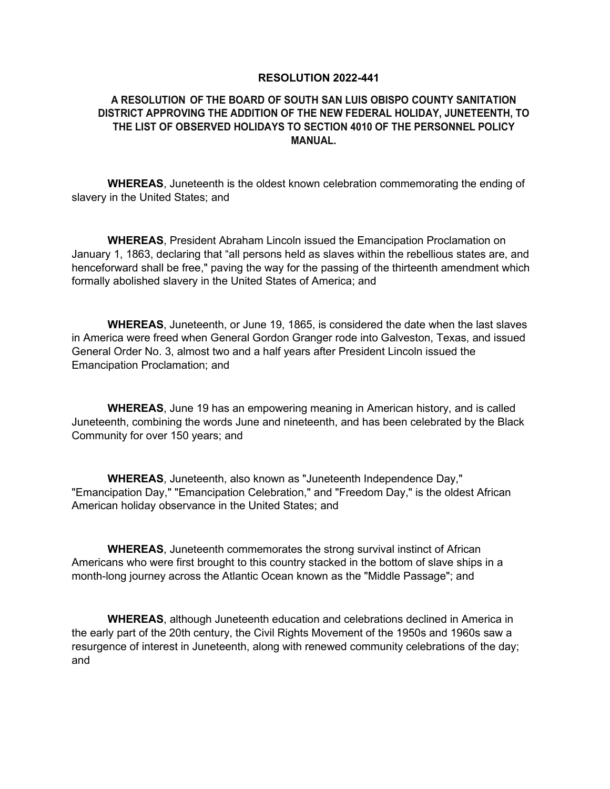## **RESOLUTION 2022-441**

## **A RESOLUTION OF THE BOARD OF SOUTH SAN LUIS OBISPO COUNTY SANITATION DISTRICT APPROVING THE ADDITION OF THE NEW FEDERAL HOLIDAY, JUNETEENTH, TO THE LIST OF OBSERVED HOLIDAYS TO SECTION 4010 OF THE PERSONNEL POLICY MANUAL.**

**WHEREAS**, Juneteenth is the oldest known celebration commemorating the ending of slavery in the United States; and

**WHEREAS**, President Abraham Lincoln issued the Emancipation Proclamation on January 1, 1863, declaring that "all persons held as slaves within the rebellious states are, and henceforward shall be free," paving the way for the passing of the thirteenth amendment which formally abolished slavery in the United States of America; and

**WHEREAS**, Juneteenth, or June 19, 1865, is considered the date when the last slaves in America were freed when General Gordon Granger rode into Galveston, Texas, and issued General Order No. 3, almost two and a half years after President Lincoln issued the Emancipation Proclamation; and

**WHEREAS**, June 19 has an empowering meaning in American history, and is called Juneteenth, combining the words June and nineteenth, and has been celebrated by the Black Community for over 150 years; and

**WHEREAS**, Juneteenth, also known as "Juneteenth Independence Day," "Emancipation Day," "Emancipation Celebration," and "Freedom Day," is the oldest African American holiday observance in the United States; and

**WHEREAS**, Juneteenth commemorates the strong survival instinct of African Americans who were first brought to this country stacked in the bottom of slave ships in a month-long journey across the Atlantic Ocean known as the "Middle Passage"; and

**WHEREAS**, although Juneteenth education and celebrations declined in America in the early part of the 20th century, the Civil Rights Movement of the 1950s and 1960s saw a resurgence of interest in Juneteenth, along with renewed community celebrations of the day; and